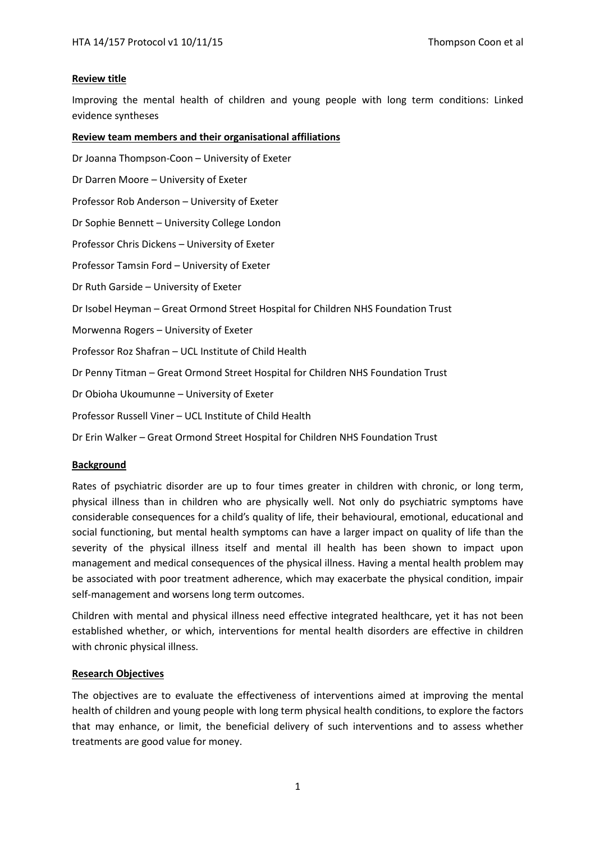## **Review title**

Improving the mental health of children and young people with long term conditions: Linked evidence syntheses

## **Review team members and their organisational affiliations**

Dr Joanna Thompson-Coon – University of Exeter Dr Darren Moore – University of Exeter Professor Rob Anderson – University of Exeter Dr Sophie Bennett – University College London Professor Chris Dickens – University of Exeter Professor Tamsin Ford – University of Exeter Dr Ruth Garside – University of Exeter Dr Isobel Heyman – Great Ormond Street Hospital for Children NHS Foundation Trust Morwenna Rogers – University of Exeter Professor Roz Shafran – UCL Institute of Child Health Dr Penny Titman – Great Ormond Street Hospital for Children NHS Foundation Trust Dr Obioha Ukoumunne – University of Exeter Professor Russell Viner – UCL Institute of Child Health Dr Erin Walker – Great Ormond Street Hospital for Children NHS Foundation Trust

## **Background**

Rates of psychiatric disorder are up to four times greater in children with chronic, or long term, physical illness than in children who are physically well. Not only do psychiatric symptoms have considerable consequences for a child's quality of life, their behavioural, emotional, educational and social functioning, but mental health symptoms can have a larger impact on quality of life than the severity of the physical illness itself and mental ill health has been shown to impact upon management and medical consequences of the physical illness. Having a mental health problem may be associated with poor treatment adherence, which may exacerbate the physical condition, impair self-management and worsens long term outcomes.

Children with mental and physical illness need effective integrated healthcare, yet it has not been established whether, or which, interventions for mental health disorders are effective in children with chronic physical illness.

## **Research Objectives**

The objectives are to evaluate the effectiveness of interventions aimed at improving the mental health of children and young people with long term physical health conditions, to explore the factors that may enhance, or limit, the beneficial delivery of such interventions and to assess whether treatments are good value for money.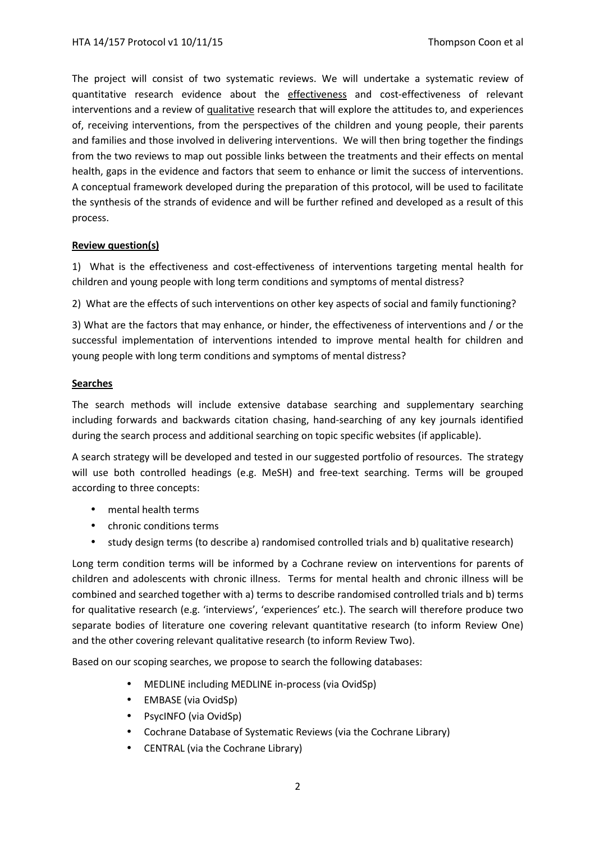The project will consist of two systematic reviews. We will undertake a systematic review of quantitative research evidence about the effectiveness and cost-effectiveness of relevant interventions and a review of qualitative research that will explore the attitudes to, and experiences of, receiving interventions, from the perspectives of the children and young people, their parents and families and those involved in delivering interventions. We will then bring together the findings from the two reviews to map out possible links between the treatments and their effects on mental health, gaps in the evidence and factors that seem to enhance or limit the success of interventions. A conceptual framework developed during the preparation of this protocol, will be used to facilitate the synthesis of the strands of evidence and will be further refined and developed as a result of this process.

## **Review question(s)**

1) What is the effectiveness and cost-effectiveness of interventions targeting mental health for children and young people with long term conditions and symptoms of mental distress?

2) What are the effects of such interventions on other key aspects of social and family functioning?

3) What are the factors that may enhance, or hinder, the effectiveness of interventions and / or the successful implementation of interventions intended to improve mental health for children and young people with long term conditions and symptoms of mental distress?

## **Searches**

The search methods will include extensive database searching and supplementary searching including forwards and backwards citation chasing, hand-searching of any key journals identified during the search process and additional searching on topic specific websites (if applicable).

A search strategy will be developed and tested in our suggested portfolio of resources. The strategy will use both controlled headings (e.g. MeSH) and free-text searching. Terms will be grouped according to three concepts:

- mental health terms
- chronic conditions terms
- study design terms (to describe a) randomised controlled trials and b) qualitative research)

Long term condition terms will be informed by a Cochrane review on interventions for parents of children and adolescents with chronic illness. Terms for mental health and chronic illness will be combined and searched together with a) terms to describe randomised controlled trials and b) terms for qualitative research (e.g. 'interviews', 'experiences' etc.). The search will therefore produce two separate bodies of literature one covering relevant quantitative research (to inform Review One) and the other covering relevant qualitative research (to inform Review Two).

Based on our scoping searches, we propose to search the following databases:

- MEDLINE including MEDLINE in-process (via OvidSp)
- EMBASE (via OvidSp)
- PsycINFO (via OvidSp)
- Cochrane Database of Systematic Reviews (via the Cochrane Library)
- CENTRAL (via the Cochrane Library)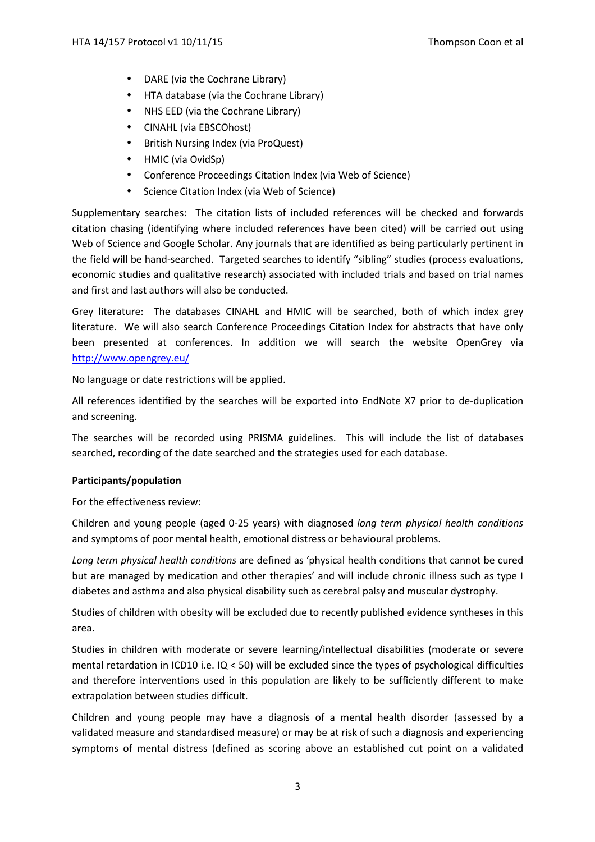- DARE (via the Cochrane Library)
- HTA database (via the Cochrane Library)
- NHS EED (via the Cochrane Library)
- CINAHL (via EBSCOhost)
- British Nursing Index (via ProQuest)
- HMIC (via OvidSp)
- Conference Proceedings Citation Index (via Web of Science)
- Science Citation Index (via Web of Science)

Supplementary searches:The citation lists of included references will be checked and forwards citation chasing (identifying where included references have been cited) will be carried out using Web of Science and Google Scholar. Any journals that are identified as being particularly pertinent in the field will be hand-searched. Targeted searches to identify "sibling" studies (process evaluations, economic studies and qualitative research) associated with included trials and based on trial names and first and last authors will also be conducted.

Grey literature:The databases CINAHL and HMIC will be searched, both of which index grey literature. We will also search Conference Proceedings Citation Index for abstracts that have only been presented at conferences. In addition we will search the website OpenGrey via http://www.opengrey.eu/

No language or date restrictions will be applied.

All references identified by the searches will be exported into EndNote X7 prior to de-duplication and screening.

The searches will be recorded using PRISMA guidelines. This will include the list of databases searched, recording of the date searched and the strategies used for each database.

# **Participants/population**

For the effectiveness review:

Children and young people (aged 0-25 years) with diagnosed *long term physical health conditions* and symptoms of poor mental health, emotional distress or behavioural problems.

*Long term physical health conditions* are defined as 'physical health conditions that cannot be cured but are managed by medication and other therapies' and will include chronic illness such as type I diabetes and asthma and also physical disability such as cerebral palsy and muscular dystrophy.

Studies of children with obesity will be excluded due to recently published evidence syntheses in this area.

Studies in children with moderate or severe learning/intellectual disabilities (moderate or severe mental retardation in ICD10 i.e. IQ < 50) will be excluded since the types of psychological difficulties and therefore interventions used in this population are likely to be sufficiently different to make extrapolation between studies difficult.

Children and young people may have a diagnosis of a mental health disorder (assessed by a validated measure and standardised measure) or may be at risk of such a diagnosis and experiencing symptoms of mental distress (defined as scoring above an established cut point on a validated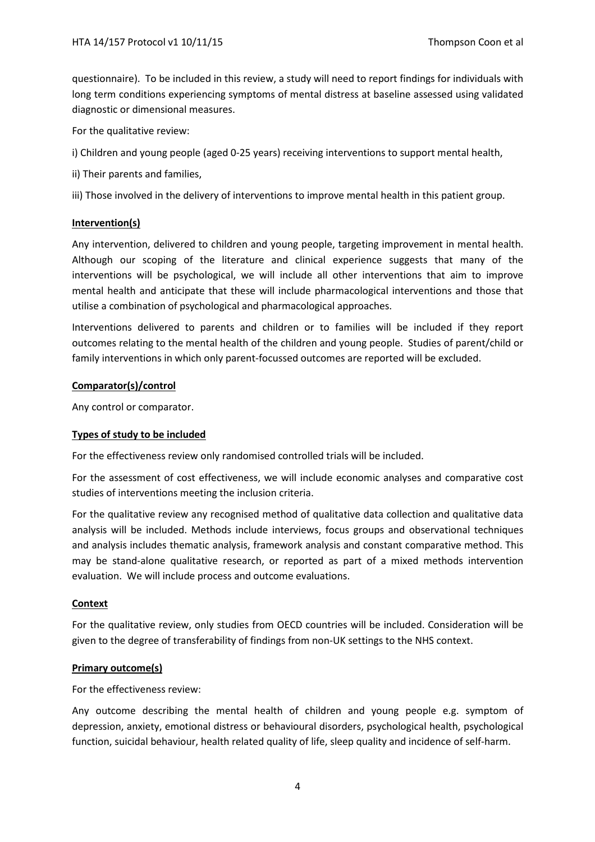questionnaire). To be included in this review, a study will need to report findings for individuals with long term conditions experiencing symptoms of mental distress at baseline assessed using validated diagnostic or dimensional measures.

For the qualitative review:

i) Children and young people (aged 0-25 years) receiving interventions to support mental health,

ii) Their parents and families,

iii) Those involved in the delivery of interventions to improve mental health in this patient group.

## **Intervention(s)**

Any intervention, delivered to children and young people, targeting improvement in mental health. Although our scoping of the literature and clinical experience suggests that many of the interventions will be psychological, we will include all other interventions that aim to improve mental health and anticipate that these will include pharmacological interventions and those that utilise a combination of psychological and pharmacological approaches.

Interventions delivered to parents and children or to families will be included if they report outcomes relating to the mental health of the children and young people. Studies of parent/child or family interventions in which only parent-focussed outcomes are reported will be excluded.

## **Comparator(s)/control**

Any control or comparator.

## **Types of study to be included**

For the effectiveness review only randomised controlled trials will be included.

For the assessment of cost effectiveness, we will include economic analyses and comparative cost studies of interventions meeting the inclusion criteria.

For the qualitative review any recognised method of qualitative data collection and qualitative data analysis will be included. Methods include interviews, focus groups and observational techniques and analysis includes thematic analysis, framework analysis and constant comparative method. This may be stand-alone qualitative research, or reported as part of a mixed methods intervention evaluation. We will include process and outcome evaluations.

## **Context**

For the qualitative review, only studies from OECD countries will be included. Consideration will be given to the degree of transferability of findings from non-UK settings to the NHS context.

# **Primary outcome(s)**

For the effectiveness review:

Any outcome describing the mental health of children and young people e.g. symptom of depression, anxiety, emotional distress or behavioural disorders, psychological health, psychological function, suicidal behaviour, health related quality of life, sleep quality and incidence of self-harm.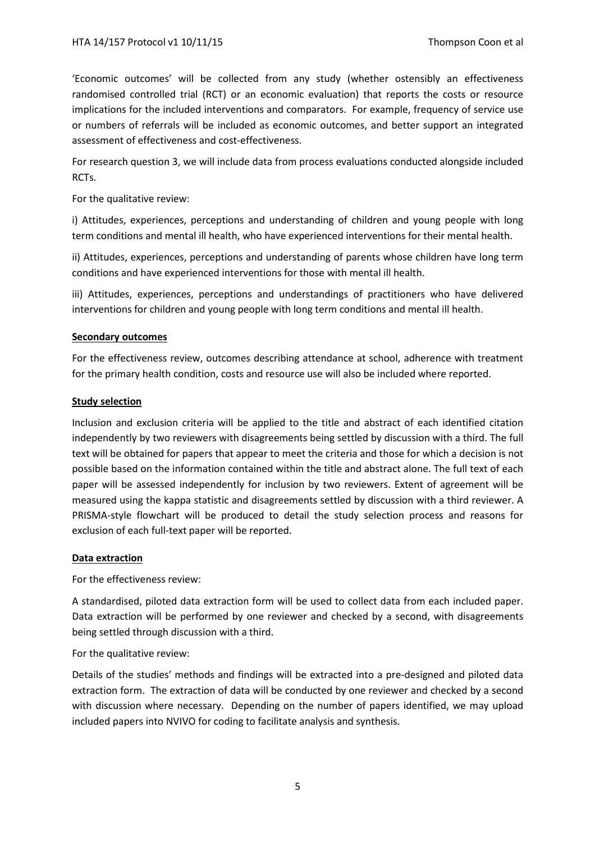'Economic outcomes' will be collected from any study (whether ostensibly an effectiveness randomised controlled trial (RCT) or an economic evaluation) that reports the costs or resource implications for the included interventions and comparators. For example, frequency of service use or numbers of referrals will be included as economic outcomes, and better support an integrated assessment of effectiveness and cost-effectiveness.

For research question 3, we will include data from process evaluations conducted alongside included RCTs.

For the qualitative review:

i) Attitudes, experiences, perceptions and understanding of children and young people with long term conditions and mental ill health, who have experienced interventions for their mental health.

ii) Attitudes, experiences, perceptions and understanding of parents whose children have long term conditions and have experienced interventions for those with mental ill health.

iii) Attitudes, experiences, perceptions and understandings of practitioners who have delivered interventions for children and young people with long term conditions and mental ill health.

#### **Secondary outcomes**

For the effectiveness review, outcomes describing attendance at school, adherence with treatment for the primary health condition, costs and resource use will also be included where reported.

#### **Study selection**

Inclusion and exclusion criteria will be applied to the title and abstract of each identified citation independently by two reviewers with disagreements being settled by discussion with a third. The full text will be obtained for papers that appear to meet the criteria and those for which a decision is not possible based on the information contained within the title and abstract alone. The full text of each paper will be assessed independently for inclusion by two reviewers. Extent of agreement will be measured using the kappa statistic and disagreements settled by discussion with a third reviewer. A PRISMA-style flowchart will be produced to detail the study selection process and reasons for exclusion of each full-text paper will be reported.

#### **Data extraction**

For the effectiveness review:

A standardised, piloted data extraction form will be used to collect data from each included paper. Data extraction will be performed by one reviewer and checked by a second, with disagreements being settled through discussion with a third.

For the qualitative review:

Details of the studies' methods and findings will be extracted into a pre-designed and piloted data extraction form. The extraction of data will be conducted by one reviewer and checked by a second with discussion where necessary. Depending on the number of papers identified, we may upload included papers into NVIVO for coding to facilitate analysis and synthesis.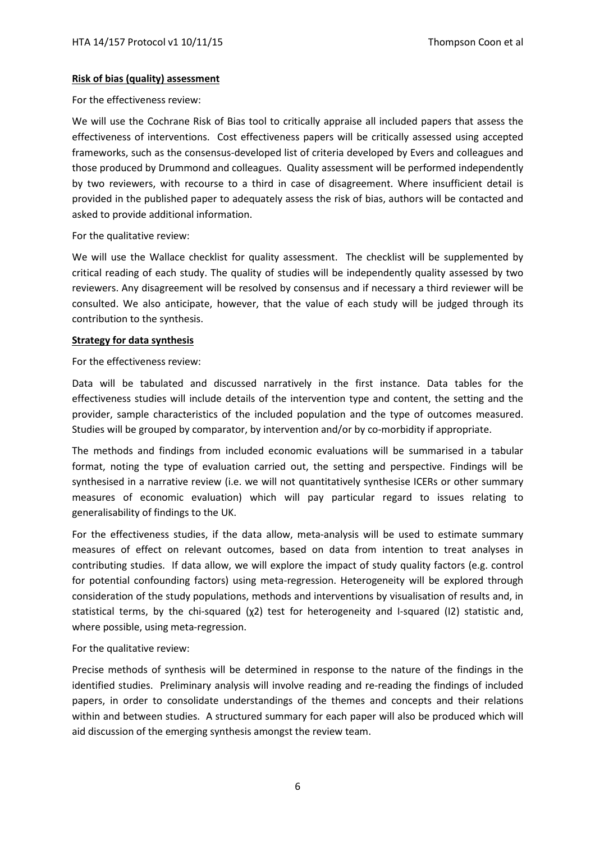## **Risk of bias (quality) assessment**

For the effectiveness review:

We will use the Cochrane Risk of Bias tool to critically appraise all included papers that assess the effectiveness of interventions. Cost effectiveness papers will be critically assessed using accepted frameworks, such as the consensus-developed list of criteria developed by Evers and colleagues and those produced by Drummond and colleagues. Quality assessment will be performed independently by two reviewers, with recourse to a third in case of disagreement. Where insufficient detail is provided in the published paper to adequately assess the risk of bias, authors will be contacted and asked to provide additional information.

For the qualitative review:

We will use the Wallace checklist for quality assessment. The checklist will be supplemented by critical reading of each study. The quality of studies will be independently quality assessed by two reviewers. Any disagreement will be resolved by consensus and if necessary a third reviewer will be consulted. We also anticipate, however, that the value of each study will be judged through its contribution to the synthesis.

#### **Strategy for data synthesis**

For the effectiveness review:

Data will be tabulated and discussed narratively in the first instance. Data tables for the effectiveness studies will include details of the intervention type and content, the setting and the provider, sample characteristics of the included population and the type of outcomes measured. Studies will be grouped by comparator, by intervention and/or by co-morbidity if appropriate.

The methods and findings from included economic evaluations will be summarised in a tabular format, noting the type of evaluation carried out, the setting and perspective. Findings will be synthesised in a narrative review (i.e. we will not quantitatively synthesise ICERs or other summary measures of economic evaluation) which will pay particular regard to issues relating to generalisability of findings to the UK.

For the effectiveness studies, if the data allow, meta-analysis will be used to estimate summary measures of effect on relevant outcomes, based on data from intention to treat analyses in contributing studies. If data allow, we will explore the impact of study quality factors (e.g. control for potential confounding factors) using meta-regression. Heterogeneity will be explored through consideration of the study populations, methods and interventions by visualisation of results and, in statistical terms, by the chi-squared  $(χ2)$  test for heterogeneity and I-squared (I2) statistic and, where possible, using meta-regression.

For the qualitative review:

Precise methods of synthesis will be determined in response to the nature of the findings in the identified studies. Preliminary analysis will involve reading and re-reading the findings of included papers, in order to consolidate understandings of the themes and concepts and their relations within and between studies. A structured summary for each paper will also be produced which will aid discussion of the emerging synthesis amongst the review team.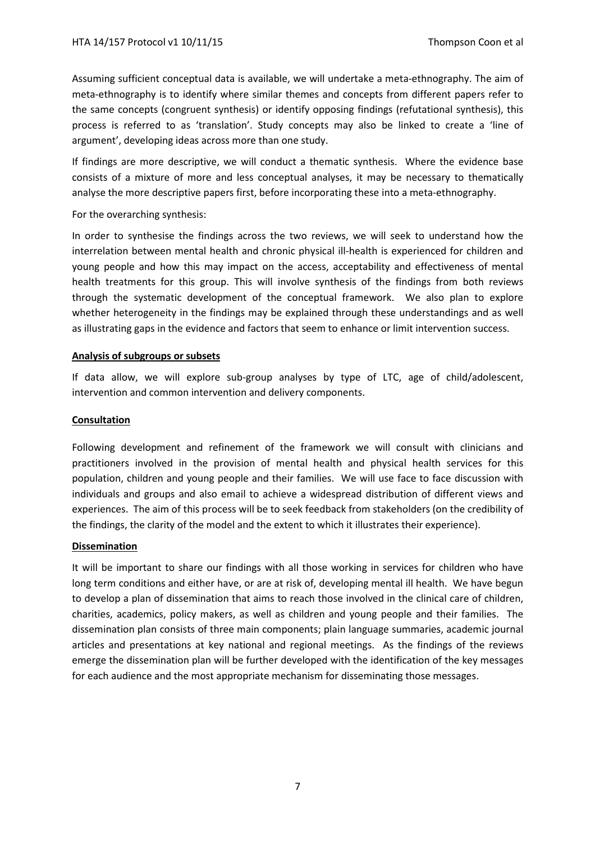Assuming sufficient conceptual data is available, we will undertake a meta-ethnography. The aim of meta-ethnography is to identify where similar themes and concepts from different papers refer to the same concepts (congruent synthesis) or identify opposing findings (refutational synthesis), this process is referred to as 'translation'. Study concepts may also be linked to create a 'line of argument', developing ideas across more than one study.

If findings are more descriptive, we will conduct a thematic synthesis. Where the evidence base consists of a mixture of more and less conceptual analyses, it may be necessary to thematically analyse the more descriptive papers first, before incorporating these into a meta-ethnography.

## For the overarching synthesis:

In order to synthesise the findings across the two reviews, we will seek to understand how the interrelation between mental health and chronic physical ill-health is experienced for children and young people and how this may impact on the access, acceptability and effectiveness of mental health treatments for this group. This will involve synthesis of the findings from both reviews through the systematic development of the conceptual framework. We also plan to explore whether heterogeneity in the findings may be explained through these understandings and as well as illustrating gaps in the evidence and factors that seem to enhance or limit intervention success.

## **Analysis of subgroups or subsets**

If data allow, we will explore sub-group analyses by type of LTC, age of child/adolescent, intervention and common intervention and delivery components.

## **Consultation**

Following development and refinement of the framework we will consult with clinicians and practitioners involved in the provision of mental health and physical health services for this population, children and young people and their families. We will use face to face discussion with individuals and groups and also email to achieve a widespread distribution of different views and experiences. The aim of this process will be to seek feedback from stakeholders (on the credibility of the findings, the clarity of the model and the extent to which it illustrates their experience).

## **Dissemination**

It will be important to share our findings with all those working in services for children who have long term conditions and either have, or are at risk of, developing mental ill health. We have begun to develop a plan of dissemination that aims to reach those involved in the clinical care of children, charities, academics, policy makers, as well as children and young people and their families. The dissemination plan consists of three main components; plain language summaries, academic journal articles and presentations at key national and regional meetings. As the findings of the reviews emerge the dissemination plan will be further developed with the identification of the key messages for each audience and the most appropriate mechanism for disseminating those messages.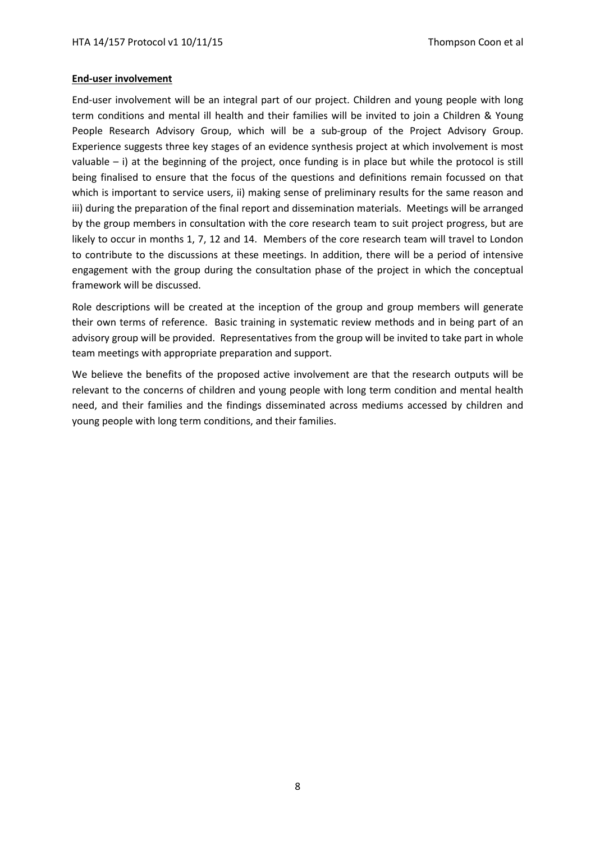#### **End-user involvement**

End-user involvement will be an integral part of our project. Children and young people with long term conditions and mental ill health and their families will be invited to join a Children & Young People Research Advisory Group, which will be a sub-group of the Project Advisory Group. Experience suggests three key stages of an evidence synthesis project at which involvement is most valuable  $-$  i) at the beginning of the project, once funding is in place but while the protocol is still being finalised to ensure that the focus of the questions and definitions remain focussed on that which is important to service users, ii) making sense of preliminary results for the same reason and iii) during the preparation of the final report and dissemination materials. Meetings will be arranged by the group members in consultation with the core research team to suit project progress, but are likely to occur in months 1, 7, 12 and 14. Members of the core research team will travel to London to contribute to the discussions at these meetings. In addition, there will be a period of intensive engagement with the group during the consultation phase of the project in which the conceptual framework will be discussed.

Role descriptions will be created at the inception of the group and group members will generate their own terms of reference. Basic training in systematic review methods and in being part of an advisory group will be provided. Representatives from the group will be invited to take part in whole team meetings with appropriate preparation and support.

We believe the benefits of the proposed active involvement are that the research outputs will be relevant to the concerns of children and young people with long term condition and mental health need, and their families and the findings disseminated across mediums accessed by children and young people with long term conditions, and their families.